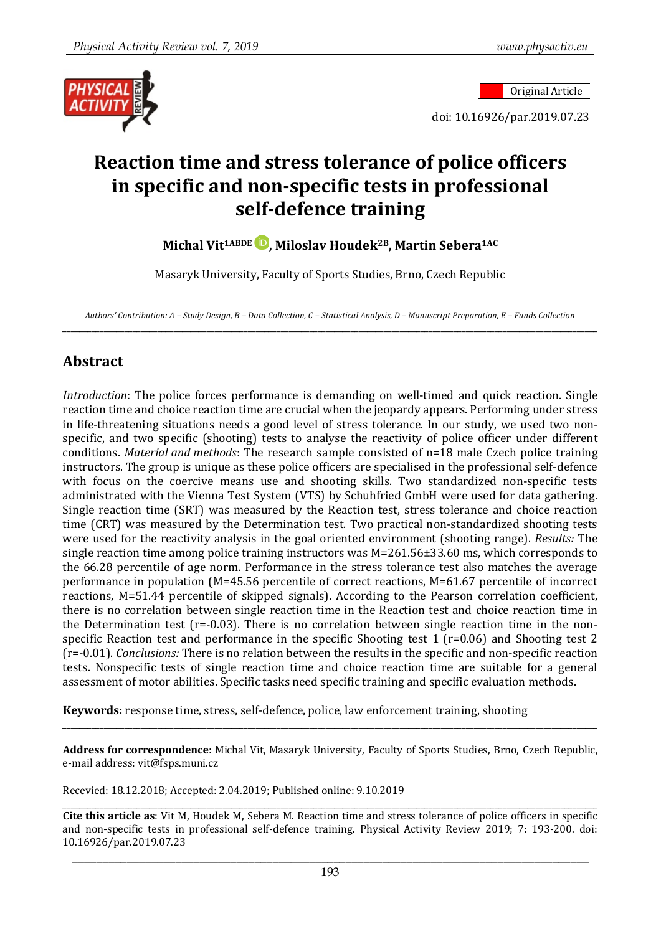

doi: 10.16926/par.2019.07.23

# **Reaction time and stress tolerance of police officers in specific and non-specific tests in professional self-defence training**

**Michal Vit1ABDE , Miloslav Houdek2B, Martin Sebera1AC**

Masaryk University, Faculty of Sports Studies, Brno, Czech Republic

*Authors' Contribution: A – Study Design, B – Data Collection, C – Statistical Analysis, D – Manuscript Preparation, E – Funds Collection* \_\_\_\_\_\_\_\_\_\_\_\_\_\_\_\_\_\_\_\_\_\_\_\_\_\_\_\_\_\_\_\_\_\_\_\_\_\_\_\_\_\_\_\_\_\_\_\_\_\_\_\_\_\_\_\_\_\_\_\_\_\_\_\_\_\_\_\_\_\_\_\_\_\_\_\_\_\_\_\_\_\_\_\_\_\_\_\_\_\_\_\_\_\_\_\_\_\_\_\_\_\_\_\_\_\_\_\_\_\_\_\_\_\_\_\_\_\_\_\_\_\_\_\_\_\_\_\_\_\_

### **Abstract**

*Introduction*: The police forces performance is demanding on well-timed and quick reaction. Single reaction time and choice reaction time are crucial when the jeopardy appears. Performing under stress in life-threatening situations needs a good level of stress tolerance. In our study, we used two nonspecific, and two specific (shooting) tests to analyse the reactivity of police officer under different conditions. *Material and methods*: The research sample consisted of n=18 male Czech police training instructors. The group is unique as these police officers are specialised in the professional self-defence with focus on the coercive means use and shooting skills. Two standardized non-specific tests administrated with the Vienna Test System (VTS) by Schuhfried GmbH were used for data gathering. Single reaction time (SRT) was measured by the Reaction test, stress tolerance and choice reaction time (CRT) was measured by the Determination test. Two practical non-standardized shooting tests were used for the reactivity analysis in the goal oriented environment (shooting range). *Results:* The single reaction time among police training instructors was M=261.56±33.60 ms, which corresponds to the 66.28 percentile of age norm. Performance in the stress tolerance test also matches the average performance in population (M=45.56 percentile of correct reactions, M=61.67 percentile of incorrect reactions, M=51.44 percentile of skipped signals). According to the Pearson correlation coefficient, there is no correlation between single reaction time in the Reaction test and choice reaction time in the Determination test (r=-0.03). There is no correlation between single reaction time in the nonspecific Reaction test and performance in the specific Shooting test 1 (r=0.06) and Shooting test 2 (r=-0.01). *Conclusions:* There is no relation between the results in the specific and non-specific reaction tests. Nonspecific tests of single reaction time and choice reaction time are suitable for a general assessment of motor abilities. Specific tasks need specific training and specific evaluation methods.

**Keywords:** response time, stress, self-defence, police, law enforcement training, shooting

**Address for correspondence**: Michal Vit, Masaryk University, Faculty of Sports Studies, Brno, Czech Republic, e-mail address: vit@fsps.muni.cz

\_\_\_\_\_\_\_\_\_\_\_\_\_\_\_\_\_\_\_\_\_\_\_\_\_\_\_\_\_\_\_\_\_\_\_\_\_\_\_\_\_\_\_\_\_\_\_\_\_\_\_\_\_\_\_\_\_\_\_\_\_\_\_\_\_\_\_\_\_\_\_\_\_\_\_\_\_\_\_\_\_\_\_\_\_\_\_\_\_\_\_\_\_\_\_\_\_\_\_\_\_\_\_\_\_\_\_\_\_\_\_\_\_\_\_\_\_\_\_\_\_\_\_\_\_\_\_\_\_\_

Recevied: 18.12.2018; Accepted: 2.04.2019; Published online: 9.10.2019

\_\_\_\_\_\_\_\_\_\_\_\_\_\_\_\_\_\_\_\_\_\_\_\_\_\_\_\_\_\_\_\_\_\_\_\_\_\_\_\_\_\_\_\_\_\_\_\_\_\_\_\_\_\_\_\_\_\_\_\_\_\_\_\_\_\_\_\_\_\_\_\_\_\_\_\_\_\_\_\_\_\_\_\_\_\_\_\_\_\_\_\_\_\_\_\_\_\_\_\_\_\_\_\_\_\_\_\_\_\_\_\_\_\_\_\_\_\_\_\_\_\_\_\_\_\_\_\_\_\_ **Cite this article as**: Vit M, Houdek M, Sebera M. Reaction time and stress tolerance of police officers in specific and non-specific tests in professional self-defence training. Physical Activity Review 2019; 7: 193-200. doi: 10.16926/par.2019.07.23

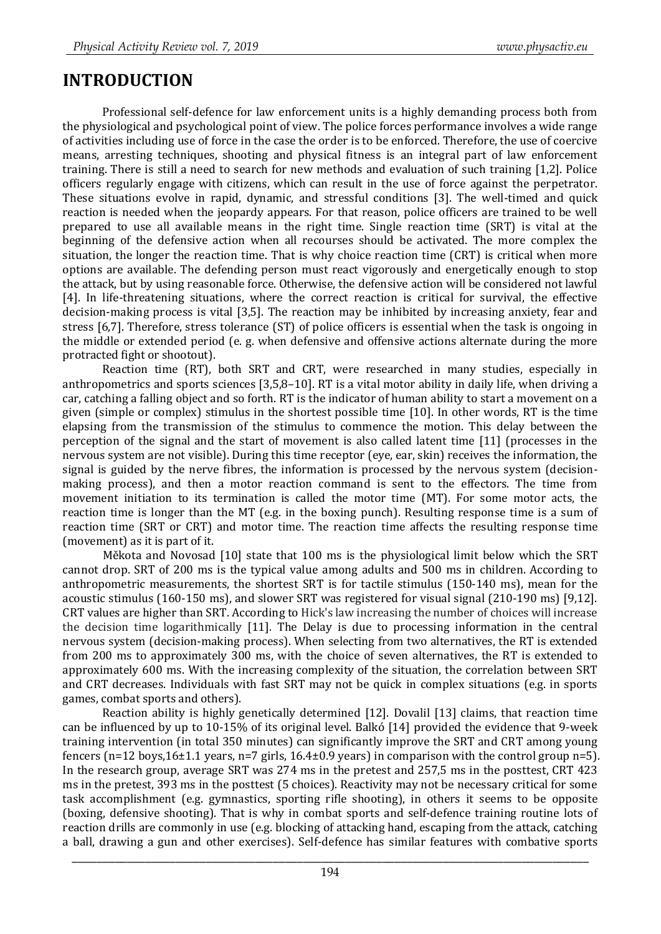# **INTRODUCTION**

Professional self-defence for law enforcement units is a highly demanding process both from the physiological and psychological point of view. The police forces performance involves a wide range of activities including use of force in the case the order is to be enforced. Therefore, the use of coercive means, arresting techniques, shooting and physical fitness is an integral part of law enforcement training. There is still a need to search for new methods and evaluation of such training [1,2]. Police officers regularly engage with citizens, which can result in the use of force against the perpetrator. These situations evolve in rapid, dynamic, and stressful conditions [3]. The well-timed and quick reaction is needed when the jeopardy appears. For that reason, police officers are trained to be well prepared to use all available means in the right time. Single reaction time (SRT) is vital at the beginning of the defensive action when all recourses should be activated. The more complex the situation, the longer the reaction time. That is why choice reaction time (CRT) is critical when more options are available. The defending person must react vigorously and energetically enough to stop the attack, but by using reasonable force. Otherwise, the defensive action will be considered not lawful [4]. In life-threatening situations, where the correct reaction is critical for survival, the effective decision-making process is vital [3,5]. The reaction may be inhibited by increasing anxiety, fear and stress [6,7]. Therefore, stress tolerance (ST) of police officers is essential when the task is ongoing in the middle or extended period (e. g. when defensive and offensive actions alternate during the more protracted fight or shootout).

Reaction time (RT), both SRT and CRT, were researched in many studies, especially in anthropometrics and sports sciences [3,5,8–10]. RT is a vital motor ability in daily life, when driving a car, catching a falling object and so forth. RT is the indicator of human ability to start a movement on a given (simple or complex) stimulus in the shortest possible time [10]. In other words, RT is the time elapsing from the transmission of the stimulus to commence the motion. This delay between the perception of the signal and the start of movement is also called latent time [11] (processes in the nervous system are not visible). During this time receptor (eye, ear, skin) receives the information, the signal is guided by the nerve fibres, the information is processed by the nervous system (decisionmaking process), and then a motor reaction command is sent to the effectors. The time from movement initiation to its termination is called the motor time (MT). For some motor acts, the reaction time is longer than the MT (e.g. in the boxing punch). Resulting response time is a sum of reaction time (SRT or CRT) and motor time. The reaction time affects the resulting response time (movement) as it is part of it.

Měkota and Novosad [10] state that 100 ms is the physiological limit below which the SRT cannot drop. SRT of 200 ms is the typical value among adults and 500 ms in children. According to anthropometric measurements, the shortest SRT is for tactile stimulus (150-140 ms), mean for the acoustic stimulus (160-150 ms), and slower SRT was registered for visual signal (210-190 ms) [9,12]. CRT values are higher than SRT. According to Hick's law increasing the number of choices will increase the decision time logarithmically [11]. The Delay is due to processing information in the central nervous system (decision-making process). When selecting from two alternatives, the RT is extended from 200 ms to approximately 300 ms, with the choice of seven alternatives, the RT is extended to approximately 600 ms. With the increasing complexity of the situation, the correlation between SRT and CRT decreases. Individuals with fast SRT may not be quick in complex situations (e.g. in sports games, combat sports and others).

Reaction ability is highly genetically determined [12]. Dovalil [13] claims, that reaction time can be influenced by up to 10-15% of its original level. Balkó [14] provided the evidence that 9-week training intervention (in total 350 minutes) can significantly improve the SRT and CRT among young fencers (n=12 boys,16 $\pm$ 1.1 years, n=7 girls, 16.4 $\pm$ 0.9 years) in comparison with the control group n=5). In the research group, average SRT was 274 ms in the pretest and 257,5 ms in the posttest, CRT 423 ms in the pretest, 393 ms in the posttest (5 choices). Reactivity may not be necessary critical for some task accomplishment (e.g. gymnastics, sporting rifle shooting), in others it seems to be opposite (boxing, defensive shooting). That is why in combat sports and self-defence training routine lots of reaction drills are commonly in use (e.g. blocking of attacking hand, escaping from the attack, catching a ball, drawing a gun and other exercises). Self-defence has similar features with combative sports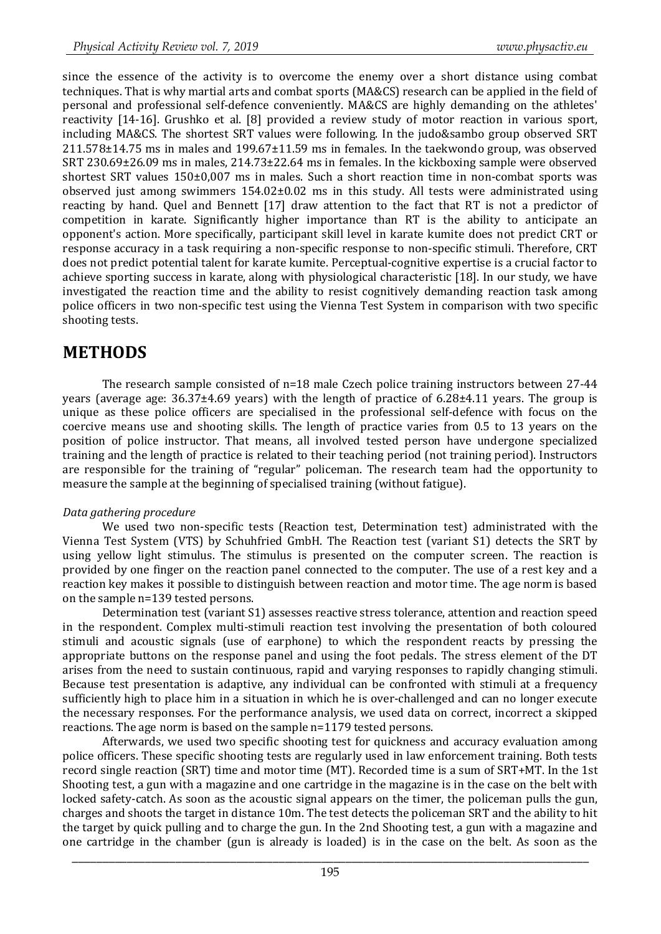since the essence of the activity is to overcome the enemy over a short distance using combat techniques. That is why martial arts and combat sports (MA&CS) research can be applied in the field of personal and professional self-defence conveniently. MA&CS are highly demanding on the athletes' reactivity [14-16]. Grushko et al. [8] provided a review study of motor reaction in various sport, including MA&CS. The shortest SRT values were following. In the judo&sambo group observed SRT 211.578±14.75 ms in males and 199.67±11.59 ms in females. In the taekwondo group, was observed SRT 230.69±26.09 ms in males, 214.73±22.64 ms in females. In the kickboxing sample were observed shortest SRT values 150±0,007 ms in males. Such a short reaction time in non-combat sports was observed just among swimmers  $154.02\pm0.02$  ms in this study. All tests were administrated using reacting by hand. Quel and Bennett [17] draw attention to the fact that RT is not a predictor of competition in karate. Significantly higher importance than RT is the ability to anticipate an opponent's action. More specifically, participant skill level in karate kumite does not predict CRT or response accuracy in a task requiring a non-specific response to non-specific stimuli. Therefore, CRT does not predict potential talent for karate kumite. Perceptual-cognitive expertise is a crucial factor to achieve sporting success in karate, along with physiological characteristic [18]. In our study, we have investigated the reaction time and the ability to resist cognitively demanding reaction task among police officers in two non-specific test using the Vienna Test System in comparison with two specific shooting tests.

# **METHODS**

The research sample consisted of n=18 male Czech police training instructors between 27-44 years (average age: 36.37±4.69 years) with the length of practice of 6.28±4.11 years. The group is unique as these police officers are specialised in the professional self-defence with focus on the coercive means use and shooting skills. The length of practice varies from 0.5 to 13 years on the position of police instructor. That means, all involved tested person have undergone specialized training and the length of practice is related to their teaching period (not training period). Instructors are responsible for the training of "regular" policeman. The research team had the opportunity to measure the sample at the beginning of specialised training (without fatigue).

#### *Data gathering procedure*

We used two non-specific tests (Reaction test, Determination test) administrated with the Vienna Test System (VTS) by Schuhfried GmbH. The Reaction test (variant S1) detects the SRT by using yellow light stimulus. The stimulus is presented on the computer screen. The reaction is provided by one finger on the reaction panel connected to the computer. The use of a rest key and a reaction key makes it possible to distinguish between reaction and motor time. The age norm is based on the sample n=139 tested persons.

Determination test (variant S1) assesses reactive stress tolerance, attention and reaction speed in the respondent. Complex multi-stimuli reaction test involving the presentation of both coloured stimuli and acoustic signals (use of earphone) to which the respondent reacts by pressing the appropriate buttons on the response panel and using the foot pedals. The stress element of the DT arises from the need to sustain continuous, rapid and varying responses to rapidly changing stimuli. Because test presentation is adaptive, any individual can be confronted with stimuli at a frequency sufficiently high to place him in a situation in which he is over-challenged and can no longer execute the necessary responses. For the performance analysis, we used data on correct, incorrect a skipped reactions. The age norm is based on the sample n=1179 tested persons.

Afterwards, we used two specific shooting test for quickness and accuracy evaluation among police officers. These specific shooting tests are regularly used in law enforcement training. Both tests record single reaction (SRT) time and motor time (MT). Recorded time is a sum of SRT+MT. In the 1st Shooting test, a gun with a magazine and one cartridge in the magazine is in the case on the belt with locked safety-catch. As soon as the acoustic signal appears on the timer, the policeman pulls the gun, charges and shoots the target in distance 10m. The test detects the policeman SRT and the ability to hit the target by quick pulling and to charge the gun. In the 2nd Shooting test, a gun with a magazine and one cartridge in the chamber (gun is already is loaded) is in the case on the belt. As soon as the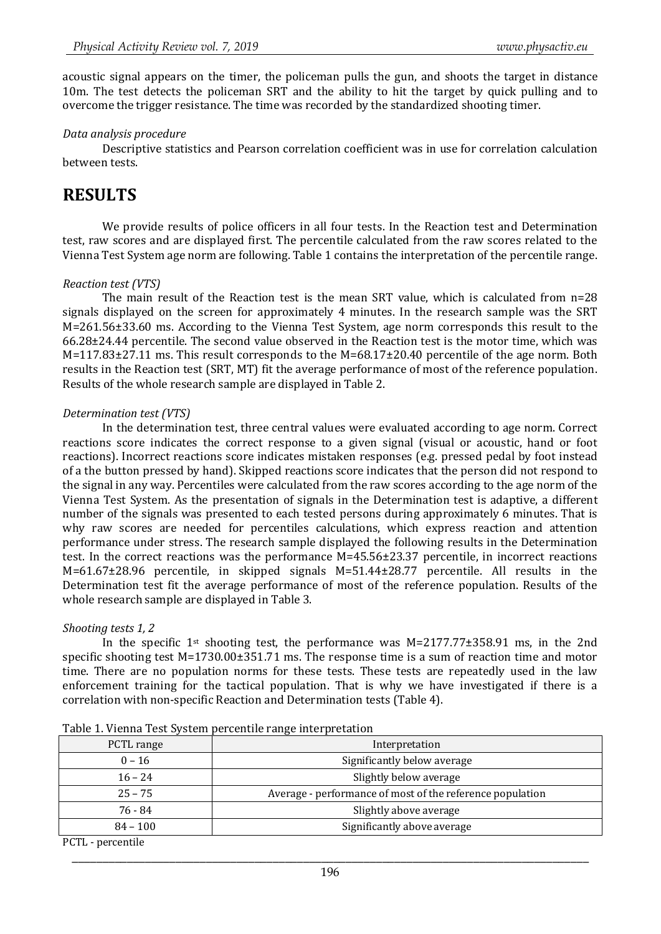acoustic signal appears on the timer, the policeman pulls the gun, and shoots the target in distance 10m. The test detects the policeman SRT and the ability to hit the target by quick pulling and to overcome the trigger resistance. The time was recorded by the standardized shooting timer.

#### *Data analysis procedure*

Descriptive statistics and Pearson correlation coefficient was in use for correlation calculation between tests.

# **RESULTS**

We provide results of police officers in all four tests. In the Reaction test and Determination test, raw scores and are displayed first. The percentile calculated from the raw scores related to the Vienna Test System age norm are following. Table 1 contains the interpretation of the percentile range.

#### *Reaction test (VTS)*

The main result of the Reaction test is the mean SRT value, which is calculated from n=28 signals displayed on the screen for approximately 4 minutes. In the research sample was the SRT M=261.56±33.60 ms. According to the Vienna Test System, age norm corresponds this result to the 66.28±24.44 percentile. The second value observed in the Reaction test is the motor time, which was M=117.83±27.11 ms. This result corresponds to the M=68.17±20.40 percentile of the age norm. Both results in the Reaction test (SRT, MT) fit the average performance of most of the reference population. Results of the whole research sample are displayed in Table 2.

#### *Determination test (VTS)*

In the determination test, three central values were evaluated according to age norm. Correct reactions score indicates the correct response to a given signal (visual or acoustic, hand or foot reactions). Incorrect reactions score indicates mistaken responses (e.g. pressed pedal by foot instead of a the button pressed by hand). Skipped reactions score indicates that the person did not respond to the signal in any way. Percentiles were calculated from the raw scores according to the age norm of the Vienna Test System. As the presentation of signals in the Determination test is adaptive, a different number of the signals was presented to each tested persons during approximately 6 minutes. That is why raw scores are needed for percentiles calculations, which express reaction and attention performance under stress. The research sample displayed the following results in the Determination test. In the correct reactions was the performance M=45.56±23.37 percentile, in incorrect reactions M=61.67±28.96 percentile, in skipped signals M=51.44±28.77 percentile. All results in the Determination test fit the average performance of most of the reference population. Results of the whole research sample are displayed in Table 3.

#### *Shooting tests 1, 2*

In the specific 1st shooting test, the performance was M=2177.77±358.91 ms, in the 2nd specific shooting test M=1730.00±351.71 ms. The response time is a sum of reaction time and motor time. There are no population norms for these tests. These tests are repeatedly used in the law enforcement training for the tactical population. That is why we have investigated if there is a correlation with non-specific Reaction and Determination tests (Table 4).

| PCTL range                                                                                                                                                                                                                                           | Interpretation                                            |
|------------------------------------------------------------------------------------------------------------------------------------------------------------------------------------------------------------------------------------------------------|-----------------------------------------------------------|
| $0 - 16$                                                                                                                                                                                                                                             | Significantly below average                               |
| $16 - 24$                                                                                                                                                                                                                                            | Slightly below average                                    |
| $25 - 75$                                                                                                                                                                                                                                            | Average - performance of most of the reference population |
| 76 - 84                                                                                                                                                                                                                                              | Slightly above average                                    |
| $84 - 100$                                                                                                                                                                                                                                           | Significantly above average                               |
| $n$ $\alpha$ m $n$<br>and the contract of the contract of the contract of the contract of the contract of the contract of the contract of the contract of the contract of the contract of the contract of the contract of the contract of the contra |                                                           |

Table 1. Vienna Test System percentile range interpretation

PCTL - percentile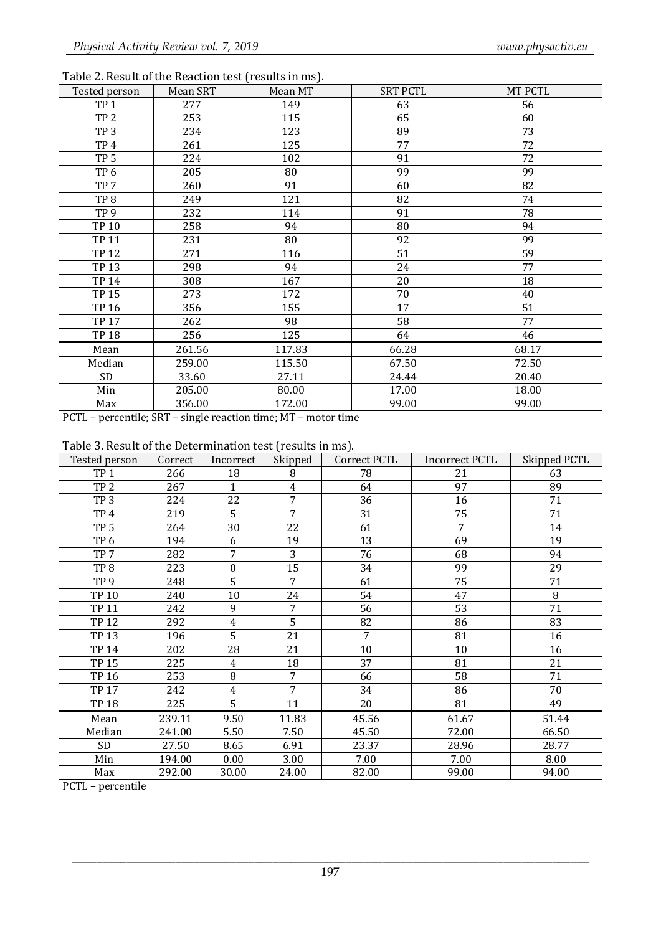|  | Table 2. Result of the Reaction test (results in ms). |
|--|-------------------------------------------------------|
|  |                                                       |

| Tested person   | Mean SRT | Mean MT | <b>SRT PCTL</b> | MT PCTL |
|-----------------|----------|---------|-----------------|---------|
| TP <sub>1</sub> | 277      | 149     | 63              | 56      |
| TP <sub>2</sub> | 253      | 115     | 65              | 60      |
| TP <sub>3</sub> | 234      | 123     | 89              | 73      |
| TP <sub>4</sub> | 261      | 125     | 77              | 72      |
| TP <sub>5</sub> | 224      | 102     | 91              | 72      |
| TP <sub>6</sub> | 205      | 80      | 99              | 99      |
| TP <sub>7</sub> | 260      | 91      | 60              | 82      |
| TP <sub>8</sub> | 249      | 121     | 82              | 74      |
| TP <sub>9</sub> | 232      | 114     | 91              | 78      |
| <b>TP 10</b>    | 258      | 94      | 80              | 94      |
| <b>TP 11</b>    | 231      | 80      | 92              | 99      |
| <b>TP12</b>     | 271      | 116     | 51              | 59      |
| <b>TP13</b>     | 298      | 94      | 24              | 77      |
| <b>TP 14</b>    | 308      | 167     | 20              | 18      |
| <b>TP 15</b>    | 273      | 172     | 70              | 40      |
| <b>TP 16</b>    | 356      | 155     | 17              | 51      |
| <b>TP 17</b>    | 262      | 98      | 58              | 77      |
| <b>TP 18</b>    | 256      | 125     | 64              | 46      |
| Mean            | 261.56   | 117.83  | 66.28           | 68.17   |
| Median          | 259.00   | 115.50  | 67.50           | 72.50   |
| SD              | 33.60    | 27.11   | 24.44           | 20.40   |
| Min             | 205.00   | 80.00   | 17.00           | 18.00   |
| Max             | 356.00   | 172.00  | 99.00           | 99.00   |

PCTL – percentile; SRT – single reaction time; MT – motor time

| Table 3. Result of the Determination test (results in ms). |  |  |  |
|------------------------------------------------------------|--|--|--|
|                                                            |  |  |  |

| Tested person   | Correct | Incorrect        | Skipped        | Correct PCTL   | <b>Incorrect PCTL</b> | Skipped PCTL |
|-----------------|---------|------------------|----------------|----------------|-----------------------|--------------|
| TP <sub>1</sub> | 266     | 18               | 8              | 78             | 21                    | 63           |
| TP <sub>2</sub> | 267     | $\mathbf{1}$     | $\overline{4}$ | 64             | 97                    | 89           |
| TP <sub>3</sub> | 224     | 22               | 7              | 36             | 16                    | 71           |
| TP <sub>4</sub> | 219     | 5                | $\overline{7}$ | 31             | 75                    | 71           |
| TP <sub>5</sub> | 264     | 30               | 22             | 61             | 7                     | 14           |
| TP <sub>6</sub> | 194     | 6                | 19             | 13             | 69                    | 19           |
| TP <sub>7</sub> | 282     | $\overline{7}$   | 3              | 76             | 68                    | 94           |
| TP <sub>8</sub> | 223     | $\boldsymbol{0}$ | 15             | 34             | 99                    | 29           |
| TP <sub>9</sub> | 248     | 5                | $\overline{7}$ | 61             | 75                    | 71           |
| <b>TP 10</b>    | 240     | 10               | 24             | 54             | 47                    | 8            |
| <b>TP 11</b>    | 242     | 9                | $\overline{7}$ | 56             | 53                    | 71           |
| <b>TP12</b>     | 292     | 4                | 5              | 82             | 86                    | 83           |
| <b>TP13</b>     | 196     | 5                | 21             | $\overline{7}$ | 81                    | 16           |
| <b>TP 14</b>    | 202     | 28               | 21             | 10             | 10                    | 16           |
| <b>TP 15</b>    | 225     | $\overline{4}$   | 18             | 37             | 81                    | 21           |
| <b>TP16</b>     | 253     | $\overline{8}$   | $\overline{7}$ | 66             | 58                    | 71           |
| <b>TP 17</b>    | 242     | $\overline{4}$   | $\overline{7}$ | 34             | 86                    | 70           |
| <b>TP18</b>     | 225     | 5                | 11             | 20             | 81                    | 49           |
| Mean            | 239.11  | 9.50             | 11.83          | 45.56          | 61.67                 | 51.44        |
| Median          | 241.00  | 5.50             | 7.50           | 45.50          | 72.00                 | 66.50        |
| SD              | 27.50   | 8.65             | 6.91           | 23.37          | 28.96                 | 28.77        |
| Min             | 194.00  | 0.00             | 3.00           | 7.00           | 7.00                  | 8.00         |
| Max             | 292.00  | 30.00            | 24.00          | 82.00          | 99.00                 | 94.00        |

PCTL – percentile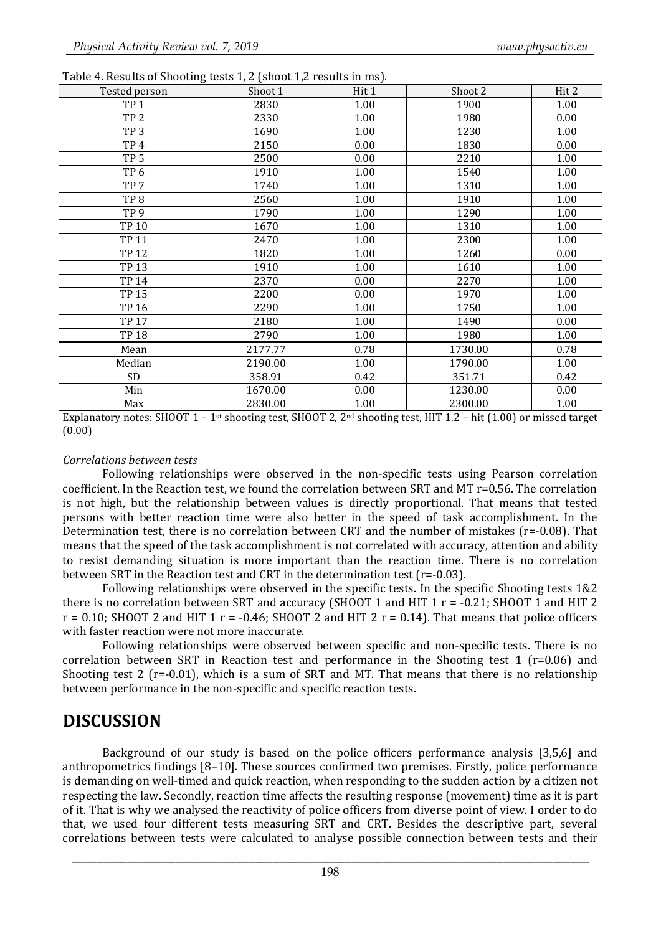| - - --- 0<br>Tested person | Shoot 1 | Hit 1 | Shoot 2 | Hit 2 |
|----------------------------|---------|-------|---------|-------|
| TP <sub>1</sub>            | 2830    | 1.00  | 1900    | 1.00  |
| TP <sub>2</sub>            | 2330    | 1.00  | 1980    | 0.00  |
| TP <sub>3</sub>            | 1690    | 1.00  | 1230    | 1.00  |
| TP <sub>4</sub>            | 2150    | 0.00  | 1830    | 0.00  |
| TP <sub>5</sub>            | 2500    | 0.00  | 2210    | 1.00  |
| TP <sub>6</sub>            | 1910    | 1.00  | 1540    | 1.00  |
| TP <sub>7</sub>            | 1740    | 1.00  | 1310    | 1.00  |
| TP <sub>8</sub>            | 2560    | 1.00  | 1910    | 1.00  |
| TP <sub>9</sub>            | 1790    | 1.00  | 1290    | 1.00  |
| <b>TP 10</b>               | 1670    | 1.00  | 1310    | 1.00  |
| <b>TP 11</b>               | 2470    | 1.00  | 2300    | 1.00  |
| <b>TP12</b>                | 1820    | 1.00  | 1260    | 0.00  |
| <b>TP13</b>                | 1910    | 1.00  | 1610    | 1.00  |
| <b>TP 14</b>               | 2370    | 0.00  | 2270    | 1.00  |
| <b>TP 15</b>               | 2200    | 0.00  | 1970    | 1.00  |
| <b>TP16</b>                | 2290    | 1.00  | 1750    | 1.00  |
| <b>TP 17</b>               | 2180    | 1.00  | 1490    | 0.00  |
| <b>TP 18</b>               | 2790    | 1.00  | 1980    | 1.00  |
| Mean                       | 2177.77 | 0.78  | 1730.00 | 0.78  |
| Median                     | 2190.00 | 1.00  | 1790.00 | 1.00  |
| SD                         | 358.91  | 0.42  | 351.71  | 0.42  |
| Min                        | 1670.00 | 0.00  | 1230.00 | 0.00  |
| Max                        | 2830.00 | 1.00  | 2300.00 | 1.00  |

Table 4. Results of Shooting tests 1, 2 (shoot 1,2 results in ms).

Explanatory notes: SHOOT 1 – 1st shooting test, SHOOT 2, 2nd shooting test, HIT 1.2 – hit (1.00) or missed target (0.00)

#### *Correlations between tests*

Following relationships were observed in the non-specific tests using Pearson correlation coefficient. In the Reaction test, we found the correlation between SRT and MT r=0.56. The correlation is not high, but the relationship between values is directly proportional. That means that tested persons with better reaction time were also better in the speed of task accomplishment. In the Determination test, there is no correlation between CRT and the number of mistakes (r=-0.08). That means that the speed of the task accomplishment is not correlated with accuracy, attention and ability to resist demanding situation is more important than the reaction time. There is no correlation between SRT in the Reaction test and CRT in the determination test (r=-0.03).

Following relationships were observed in the specific tests. In the specific Shooting tests 1&2 there is no correlation between SRT and accuracy (SHOOT 1 and HIT  $1 r = -0.21$ ; SHOOT 1 and HIT 2  $r = 0.10$ ; SHOOT 2 and HIT 1  $r = -0.46$ ; SHOOT 2 and HIT 2  $r = 0.14$ ). That means that police officers with faster reaction were not more inaccurate.

Following relationships were observed between specific and non-specific tests. There is no correlation between SRT in Reaction test and performance in the Shooting test 1 (r=0.06) and Shooting test 2 ( $r=-0.01$ ), which is a sum of SRT and MT. That means that there is no relationship between performance in the non-specific and specific reaction tests.

### **DISCUSSION**

Background of our study is based on the police officers performance analysis [3,5,6] and anthropometrics findings [8–10]. These sources confirmed two premises. Firstly, police performance is demanding on well-timed and quick reaction, when responding to the sudden action by a citizen not respecting the law. Secondly, reaction time affects the resulting response (movement) time as it is part of it. That is why we analysed the reactivity of police officers from diverse point of view. I order to do that, we used four different tests measuring SRT and CRT. Besides the descriptive part, several correlations between tests were calculated to analyse possible connection between tests and their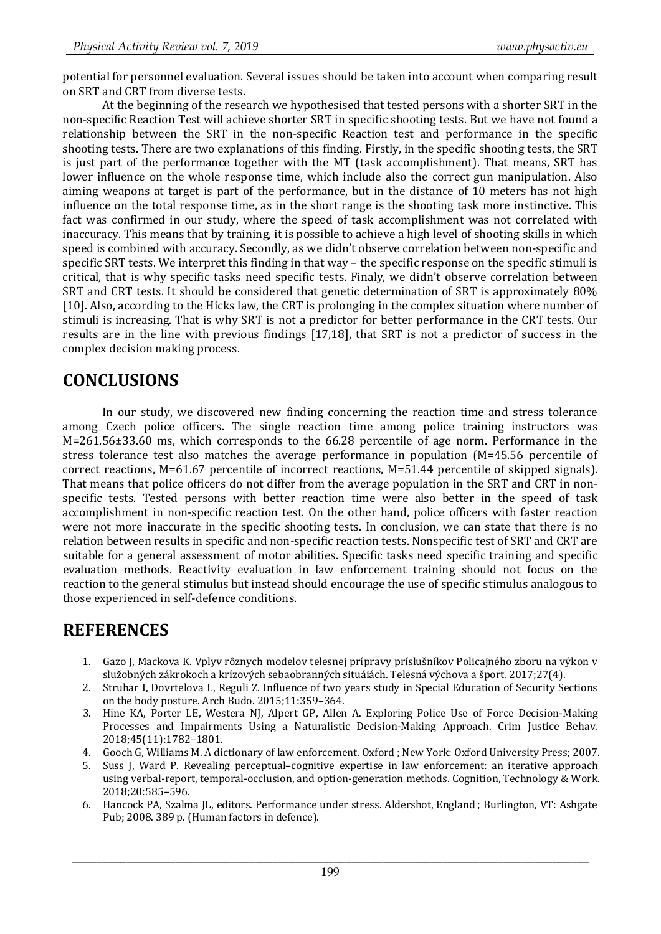potential for personnel evaluation. Several issues should be taken into account when comparing result on SRT and CRT from diverse tests.

At the beginning of the research we hypothesised that tested persons with a shorter SRT in the non-specific Reaction Test will achieve shorter SRT in specific shooting tests. But we have not found a relationship between the SRT in the non-specific Reaction test and performance in the specific shooting tests. There are two explanations of this finding. Firstly, in the specific shooting tests, the SRT is just part of the performance together with the MT (task accomplishment). That means, SRT has lower influence on the whole response time, which include also the correct gun manipulation. Also aiming weapons at target is part of the performance, but in the distance of 10 meters has not high influence on the total response time, as in the short range is the shooting task more instinctive. This fact was confirmed in our study, where the speed of task accomplishment was not correlated with inaccuracy. This means that by training, it is possible to achieve a high level of shooting skills in which speed is combined with accuracy. Secondly, as we didn't observe correlation between non-specific and specific SRT tests. We interpret this finding in that way – the specific response on the specific stimuli is critical, that is why specific tasks need specific tests. Finaly, we didn't observe correlation between SRT and CRT tests. It should be considered that genetic determination of SRT is approximately 80% [10]. Also, according to the Hicks law, the CRT is prolonging in the complex situation where number of stimuli is increasing. That is why SRT is not a predictor for better performance in the CRT tests. Our results are in the line with previous findings [17,18], that SRT is not a predictor of success in the complex decision making process.

# **CONCLUSIONS**

In our study, we discovered new finding concerning the reaction time and stress tolerance among Czech police officers. The single reaction time among police training instructors was M=261.56±33.60 ms, which corresponds to the 66.28 percentile of age norm. Performance in the stress tolerance test also matches the average performance in population (M=45.56 percentile of correct reactions, M=61.67 percentile of incorrect reactions, M=51.44 percentile of skipped signals). That means that police officers do not differ from the average population in the SRT and CRT in nonspecific tests. Tested persons with better reaction time were also better in the speed of task accomplishment in non-specific reaction test. On the other hand, police officers with faster reaction were not more inaccurate in the specific shooting tests. In conclusion, we can state that there is no relation between results in specific and non-specific reaction tests. Nonspecific test of SRT and CRT are suitable for a general assessment of motor abilities. Specific tasks need specific training and specific evaluation methods. Reactivity evaluation in law enforcement training should not focus on the reaction to the general stimulus but instead should encourage the use of specific stimulus analogous to those experienced in self-defence conditions.

# **REFERENCES**

- 1. Gazo J, Mackova K. Vplyv rôznych modelov telesnej prípravy príslušníkov Policajného zboru na výkon v služobných zákrokoch a krízových sebaobranných situáiách. Telesná výchova a šport. 2017;27(4).
- 2. Struhar I, Dovrtelova L, Reguli Z. Influence of two years study in Special Education of Security Sections on the body posture. Arch Budo. 2015;11:359–364.
- 3. Hine KA, Porter LE, Westera NJ, Alpert GP, Allen A. Exploring Police Use of Force Decision-Making Processes and Impairments Using a Naturalistic Decision-Making Approach. Crim Justice Behav. 2018;45(11):1782–1801.
- 4. Gooch G, Williams M. A dictionary of law enforcement. Oxford ; New York: Oxford University Press; 2007.<br>5. Suss J. Ward P. Revealing percentual-cognitive expertise in law enforcement: an iterative approach
- 5. Suss J, Ward P. Revealing perceptual–cognitive expertise in law enforcement: an iterative approach using verbal-report, temporal-occlusion, and option-generation methods. Cognition, Technology & Work. 2018;20:585–596.
- 6. Hancock PA, Szalma JL, editors. Performance under stress. Aldershot, England ; Burlington, VT: Ashgate Pub; 2008. 389 p. (Human factors in defence).